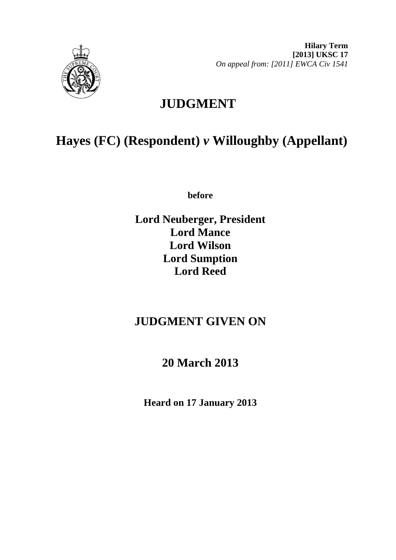

**Hilary Term [2013] UKSC 17**  *On appeal from: [2011] EWCA Civ 1541* 

# **JUDGMENT**

## **Hayes (FC) (Respondent)** *v* **Willoughby (Appellant)**

**before** 

**Lord Neuberger, President Lord Mance Lord Wilson Lord Sumption Lord Reed**

### **JUDGMENT GIVEN ON**

**20 March 2013** 

**Heard on 17 January 2013**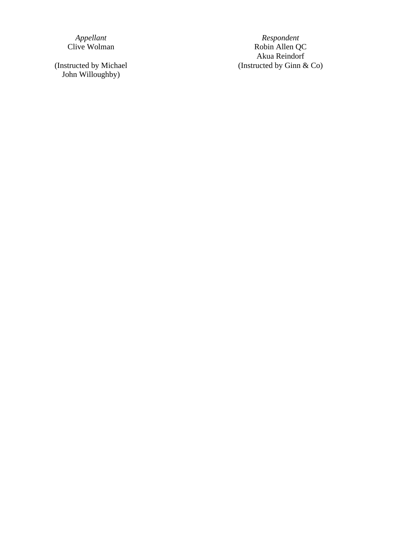John Willoughby)

*Appellant Respondent*  Clive Wolman Robin Allen QC Akua Reindorf (Instructed by Ginn  $\&$  Co)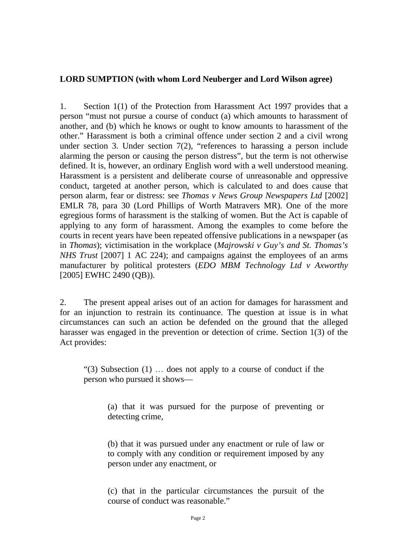#### **LORD SUMPTION (with whom Lord Neuberger and Lord Wilson agree)**

1. Section 1(1) of the Protection from Harassment Act 1997 provides that a person "must not pursue a course of conduct (a) which amounts to harassment of another, and (b) which he knows or ought to know amounts to harassment of the other." Harassment is both a criminal offence under section 2 and a civil wrong under section 3. Under section 7(2), "references to harassing a person include alarming the person or causing the person distress", but the term is not otherwise defined. It is, however, an ordinary English word with a well understood meaning. Harassment is a persistent and deliberate course of unreasonable and oppressive conduct, targeted at another person, which is calculated to and does cause that person alarm, fear or distress: see *Thomas v News Group Newspapers Ltd* [2002] EMLR 78, para 30 (Lord Phillips of Worth Matravers MR). One of the more egregious forms of harassment is the stalking of women. But the Act is capable of applying to any form of harassment. Among the examples to come before the courts in recent years have been repeated offensive publications in a newspaper (as in *Thomas*); victimisation in the workplace (*Majrowski v Guy's and St. Thomas's NHS Trust* [2007] 1 AC 224); and campaigns against the employees of an arms manufacturer by political protesters (*EDO MBM Technology Ltd v Axworthy*  [2005] EWHC 2490 (QB)).

2. The present appeal arises out of an action for damages for harassment and for an injunction to restrain its continuance. The question at issue is in what circumstances can such an action be defended on the ground that the alleged harasser was engaged in the prevention or detection of crime. Section 1(3) of the Act provides:

"(3) Subsection (1) … does not apply to a course of conduct if the person who pursued it shows—

> (a) that it was pursued for the purpose of preventing or detecting crime,

> (b) that it was pursued under any enactment or rule of law or to comply with any condition or requirement imposed by any person under any enactment, or

> (c) that in the particular circumstances the pursuit of the course of conduct was reasonable."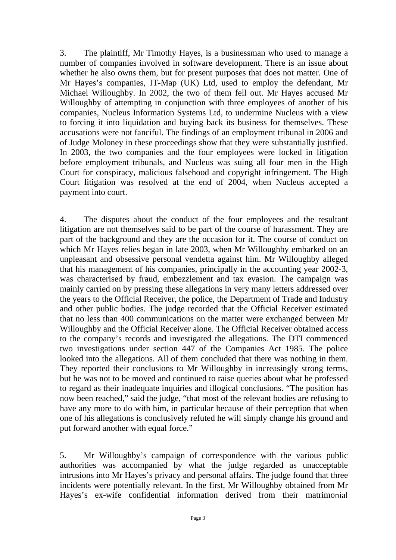3. The plaintiff, Mr Timothy Hayes, is a businessman who used to manage a number of companies involved in software development. There is an issue about whether he also owns them, but for present purposes that does not matter. One of Mr Hayes's companies, IT-Map (UK) Ltd, used to employ the defendant, Mr Michael Willoughby. In 2002, the two of them fell out. Mr Hayes accused Mr Willoughby of attempting in conjunction with three employees of another of his companies, Nucleus Information Systems Ltd, to undermine Nucleus with a view to forcing it into liquidation and buying back its business for themselves. These accusations were not fanciful. The findings of an employment tribunal in 2006 and of Judge Moloney in these proceedings show that they were substantially justified. In 2003, the two companies and the four employees were locked in litigation before employment tribunals, and Nucleus was suing all four men in the High Court for conspiracy, malicious falsehood and copyright infringement. The High Court litigation was resolved at the end of 2004, when Nucleus accepted a payment into court.

4. The disputes about the conduct of the four employees and the resultant litigation are not themselves said to be part of the course of harassment. They are part of the background and they are the occasion for it. The course of conduct on which Mr Hayes relies began in late 2003, when Mr Willoughby embarked on an unpleasant and obsessive personal vendetta against him. Mr Willoughby alleged that his management of his companies, principally in the accounting year 2002-3, was characterised by fraud, embezzlement and tax evasion. The campaign was mainly carried on by pressing these allegations in very many letters addressed over the years to the Official Receiver, the police, the Department of Trade and Industry and other public bodies. The judge recorded that the Official Receiver estimated that no less than 400 communications on the matter were exchanged between Mr Willoughby and the Official Receiver alone. The Official Receiver obtained access to the company's records and investigated the allegations. The DTI commenced two investigations under section 447 of the Companies Act 1985. The police looked into the allegations. All of them concluded that there was nothing in them. They reported their conclusions to Mr Willoughby in increasingly strong terms, but he was not to be moved and continued to raise queries about what he professed to regard as their inadequate inquiries and illogical conclusions. "The position has now been reached," said the judge, "that most of the relevant bodies are refusing to have any more to do with him, in particular because of their perception that when one of his allegations is conclusively refuted he will simply change his ground and put forward another with equal force."

5. Mr Willoughby's campaign of correspondence with the various public authorities was accompanied by what the judge regarded as unacceptable intrusions into Mr Hayes's privacy and personal affairs. The judge found that three incidents were potentially relevant. In the first, Mr Willoughby obtained from Mr Hayes's ex-wife confidential information derived from their matrimonial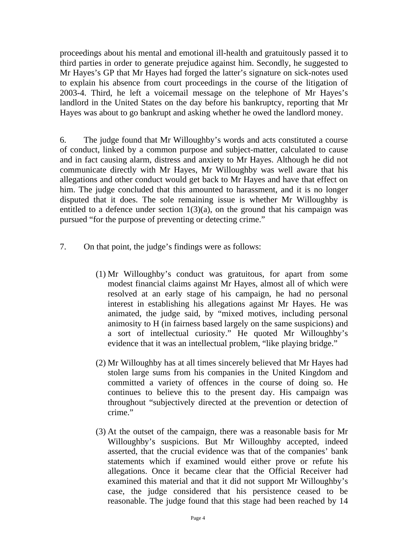proceedings about his mental and emotional ill-health and gratuitously passed it to third parties in order to generate prejudice against him. Secondly, he suggested to Mr Hayes's GP that Mr Hayes had forged the latter's signature on sick-notes used to explain his absence from court proceedings in the course of the litigation of 2003-4. Third, he left a voicemail message on the telephone of Mr Hayes's landlord in the United States on the day before his bankruptcy, reporting that Mr Hayes was about to go bankrupt and asking whether he owed the landlord money.

6. The judge found that Mr Willoughby's words and acts constituted a course of conduct, linked by a common purpose and subject-matter, calculated to cause and in fact causing alarm, distress and anxiety to Mr Hayes. Although he did not communicate directly with Mr Hayes, Mr Willoughby was well aware that his allegations and other conduct would get back to Mr Hayes and have that effect on him. The judge concluded that this amounted to harassment, and it is no longer disputed that it does. The sole remaining issue is whether Mr Willoughby is entitled to a defence under section  $1(3)(a)$ , on the ground that his campaign was pursued "for the purpose of preventing or detecting crime."

- 7. On that point, the judge's findings were as follows:
	- (1) Mr Willoughby's conduct was gratuitous, for apart from some modest financial claims against Mr Hayes, almost all of which were resolved at an early stage of his campaign, he had no personal interest in establishing his allegations against Mr Hayes. He was animated, the judge said, by "mixed motives, including personal animosity to H (in fairness based largely on the same suspicions) and a sort of intellectual curiosity." He quoted Mr Willoughby's evidence that it was an intellectual problem, "like playing bridge."
	- (2) Mr Willoughby has at all times sincerely believed that Mr Hayes had stolen large sums from his companies in the United Kingdom and committed a variety of offences in the course of doing so. He continues to believe this to the present day. His campaign was throughout "subjectively directed at the prevention or detection of crime."
	- (3) At the outset of the campaign, there was a reasonable basis for Mr Willoughby's suspicions. But Mr Willoughby accepted, indeed asserted, that the crucial evidence was that of the companies' bank statements which if examined would either prove or refute his allegations. Once it became clear that the Official Receiver had examined this material and that it did not support Mr Willoughby's case, the judge considered that his persistence ceased to be reasonable. The judge found that this stage had been reached by 14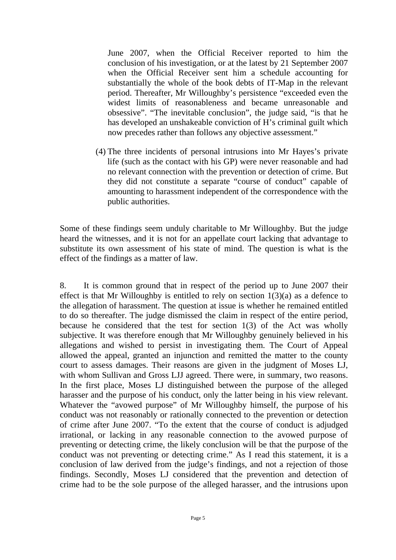June 2007, when the Official Receiver reported to him the conclusion of his investigation, or at the latest by 21 September 2007 when the Official Receiver sent him a schedule accounting for substantially the whole of the book debts of IT-Map in the relevant period. Thereafter, Mr Willoughby's persistence "exceeded even the widest limits of reasonableness and became unreasonable and obsessive". "The inevitable conclusion", the judge said, "is that he has developed an unshakeable conviction of H's criminal guilt which now precedes rather than follows any objective assessment."

(4) The three incidents of personal intrusions into Mr Hayes's private life (such as the contact with his GP) were never reasonable and had no relevant connection with the prevention or detection of crime. But they did not constitute a separate "course of conduct" capable of amounting to harassment independent of the correspondence with the public authorities.

Some of these findings seem unduly charitable to Mr Willoughby. But the judge heard the witnesses, and it is not for an appellate court lacking that advantage to substitute its own assessment of his state of mind. The question is what is the effect of the findings as a matter of law.

8. It is common ground that in respect of the period up to June 2007 their effect is that Mr Willoughby is entitled to rely on section  $1(3)(a)$  as a defence to the allegation of harassment. The question at issue is whether he remained entitled to do so thereafter. The judge dismissed the claim in respect of the entire period, because he considered that the test for section 1(3) of the Act was wholly subjective. It was therefore enough that Mr Willoughby genuinely believed in his allegations and wished to persist in investigating them. The Court of Appeal allowed the appeal, granted an injunction and remitted the matter to the county court to assess damages. Their reasons are given in the judgment of Moses LJ, with whom Sullivan and Gross LJJ agreed. There were, in summary, two reasons. In the first place, Moses LJ distinguished between the purpose of the alleged harasser and the purpose of his conduct, only the latter being in his view relevant. Whatever the "avowed purpose" of Mr Willoughby himself, the purpose of his conduct was not reasonably or rationally connected to the prevention or detection of crime after June 2007. "To the extent that the course of conduct is adjudged irrational, or lacking in any reasonable connection to the avowed purpose of preventing or detecting crime, the likely conclusion will be that the purpose of the conduct was not preventing or detecting crime." As I read this statement, it is a conclusion of law derived from the judge's findings, and not a rejection of those findings. Secondly, Moses LJ considered that the prevention and detection of crime had to be the sole purpose of the alleged harasser, and the intrusions upon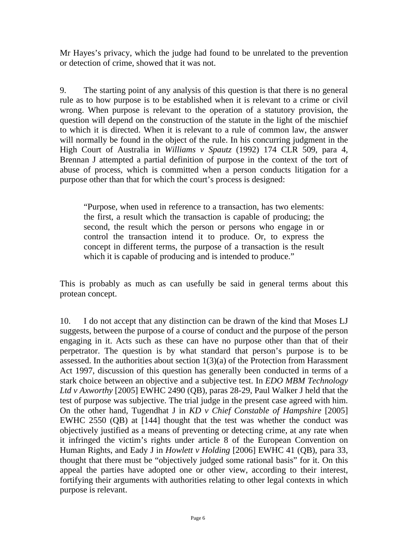Mr Hayes's privacy, which the judge had found to be unrelated to the prevention or detection of crime, showed that it was not.

9. The starting point of any analysis of this question is that there is no general rule as to how purpose is to be established when it is relevant to a crime or civil wrong. When purpose is relevant to the operation of a statutory provision, the question will depend on the construction of the statute in the light of the mischief to which it is directed. When it is relevant to a rule of common law, the answer will normally be found in the object of the rule. In his concurring judgment in the High Court of Australia in *Williams v Spautz* (1992) 174 CLR 509, para 4, Brennan J attempted a partial definition of purpose in the context of the tort of abuse of process, which is committed when a person conducts litigation for a purpose other than that for which the court's process is designed:

"Purpose, when used in reference to a transaction, has two elements: the first, a result which the transaction is capable of producing; the second, the result which the person or persons who engage in or control the transaction intend it to produce. Or, to express the concept in different terms, the purpose of a transaction is the result which it is capable of producing and is intended to produce."

This is probably as much as can usefully be said in general terms about this protean concept.

10. I do not accept that any distinction can be drawn of the kind that Moses LJ suggests, between the purpose of a course of conduct and the purpose of the person engaging in it. Acts such as these can have no purpose other than that of their perpetrator. The question is by what standard that person's purpose is to be assessed. In the authorities about section  $1(3)(a)$  of the Protection from Harassment Act 1997, discussion of this question has generally been conducted in terms of a stark choice between an objective and a subjective test. In *EDO MBM Technology Ltd v Axworthy* [2005] EWHC 2490 (QB), paras 28-29, Paul Walker J held that the test of purpose was subjective. The trial judge in the present case agreed with him. On the other hand, Tugendhat J in *KD v Chief Constable of Hampshire* [2005] EWHC 2550 (QB) at [144] thought that the test was whether the conduct was objectively justified as a means of preventing or detecting crime, at any rate when it infringed the victim's rights under article 8 of the European Convention on Human Rights, and Eady J in *Howlett v Holding* [2006] EWHC 41 (QB), para 33, thought that there must be "objectively judged some rational basis" for it. On this appeal the parties have adopted one or other view, according to their interest, fortifying their arguments with authorities relating to other legal contexts in which purpose is relevant.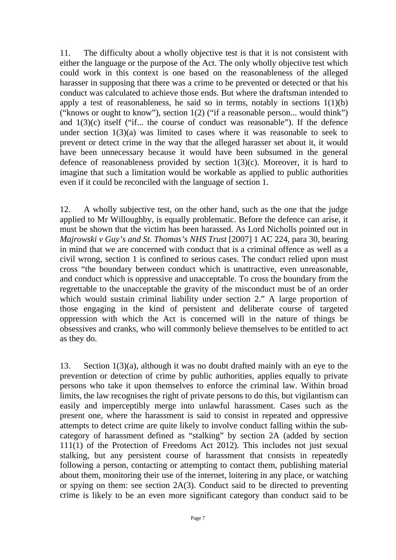11. The difficulty about a wholly objective test is that it is not consistent with either the language or the purpose of the Act. The only wholly objective test which could work in this context is one based on the reasonableness of the alleged harasser in supposing that there was a crime to be prevented or detected or that his conduct was calculated to achieve those ends. But where the draftsman intended to apply a test of reasonableness, he said so in terms, notably in sections  $1(1)(b)$ ("knows or ought to know"), section 1(2) ("if a reasonable person... would think") and  $1(3)(c)$  itself ("if... the course of conduct was reasonable"). If the defence under section  $1(3)(a)$  was limited to cases where it was reasonable to seek to prevent or detect crime in the way that the alleged harasser set about it, it would have been unnecessary because it would have been subsumed in the general defence of reasonableness provided by section  $1(3)(c)$ . Moreover, it is hard to imagine that such a limitation would be workable as applied to public authorities even if it could be reconciled with the language of section 1.

12. A wholly subjective test, on the other hand, such as the one that the judge applied to Mr Willoughby, is equally problematic. Before the defence can arise, it must be shown that the victim has been harassed. As Lord Nicholls pointed out in *Majrowski v Guy's and St. Thomas's NHS Trust* [2007] 1 AC 224, para 30, bearing in mind that we are concerned with conduct that is a criminal offence as well as a civil wrong, section 1 is confined to serious cases. The conduct relied upon must cross "the boundary between conduct which is unattractive, even unreasonable, and conduct which is oppressive and unacceptable. To cross the boundary from the regrettable to the unacceptable the gravity of the misconduct must be of an order which would sustain criminal liability under section 2." A large proportion of those engaging in the kind of persistent and deliberate course of targeted oppression with which the Act is concerned will in the nature of things be obsessives and cranks, who will commonly believe themselves to be entitled to act as they do.

13. Section 1(3)(a), although it was no doubt drafted mainly with an eye to the prevention or detection of crime by public authorities, applies equally to private persons who take it upon themselves to enforce the criminal law. Within broad limits, the law recognises the right of private persons to do this, but vigilantism can easily and imperceptibly merge into unlawful harassment. Cases such as the present one, where the harassment is said to consist in repeated and oppressive attempts to detect crime are quite likely to involve conduct falling within the subcategory of harassment defined as "stalking" by section 2A (added by section 111(1) of the Protection of Freedoms Act 2012). This includes not just sexual stalking, but any persistent course of harassment that consists in repeatedly following a person, contacting or attempting to contact them, publishing material about them, monitoring their use of the internet, loitering in any place, or watching or spying on them: see section 2A(3). Conduct said to be directed to preventing crime is likely to be an even more significant category than conduct said to be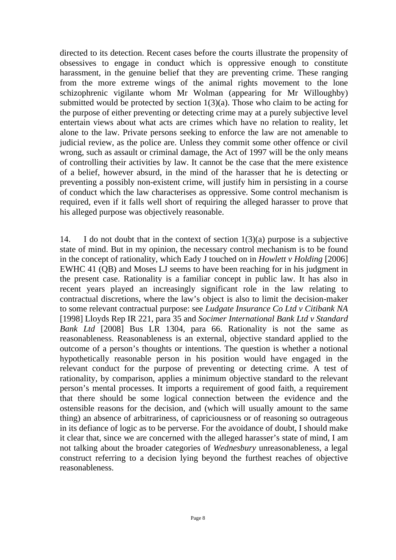directed to its detection. Recent cases before the courts illustrate the propensity of obsessives to engage in conduct which is oppressive enough to constitute harassment, in the genuine belief that they are preventing crime. These ranging from the more extreme wings of the animal rights movement to the lone schizophrenic vigilante whom Mr Wolman (appearing for Mr Willoughby) submitted would be protected by section  $1(3)(a)$ . Those who claim to be acting for the purpose of either preventing or detecting crime may at a purely subjective level entertain views about what acts are crimes which have no relation to reality, let alone to the law. Private persons seeking to enforce the law are not amenable to judicial review, as the police are. Unless they commit some other offence or civil wrong, such as assault or criminal damage, the Act of 1997 will be the only means of controlling their activities by law. It cannot be the case that the mere existence of a belief, however absurd, in the mind of the harasser that he is detecting or preventing a possibly non-existent crime, will justify him in persisting in a course of conduct which the law characterises as oppressive. Some control mechanism is required, even if it falls well short of requiring the alleged harasser to prove that his alleged purpose was objectively reasonable.

14. I do not doubt that in the context of section 1(3)(a) purpose is a subjective state of mind. But in my opinion, the necessary control mechanism is to be found in the concept of rationality, which Eady J touched on in *Howlett v Holding* [2006] EWHC 41 (QB) and Moses LJ seems to have been reaching for in his judgment in the present case. Rationality is a familiar concept in public law. It has also in recent years played an increasingly significant role in the law relating to contractual discretions, where the law's object is also to limit the decision-maker to some relevant contractual purpose: see *Ludgate Insurance Co Ltd v Citibank NA*  [1998] Lloyds Rep IR 221, para 35 and *Socimer International Bank Ltd v Standard Bank Ltd* [2008] Bus LR 1304, para 66. Rationality is not the same as reasonableness. Reasonableness is an external, objective standard applied to the outcome of a person's thoughts or intentions. The question is whether a notional hypothetically reasonable person in his position would have engaged in the relevant conduct for the purpose of preventing or detecting crime. A test of rationality, by comparison, applies a minimum objective standard to the relevant person's mental processes. It imports a requirement of good faith, a requirement that there should be some logical connection between the evidence and the ostensible reasons for the decision, and (which will usually amount to the same thing) an absence of arbitrariness, of capriciousness or of reasoning so outrageous in its defiance of logic as to be perverse. For the avoidance of doubt, I should make it clear that, since we are concerned with the alleged harasser's state of mind, I am not talking about the broader categories of *Wednesbury* unreasonableness, a legal construct referring to a decision lying beyond the furthest reaches of objective reasonableness.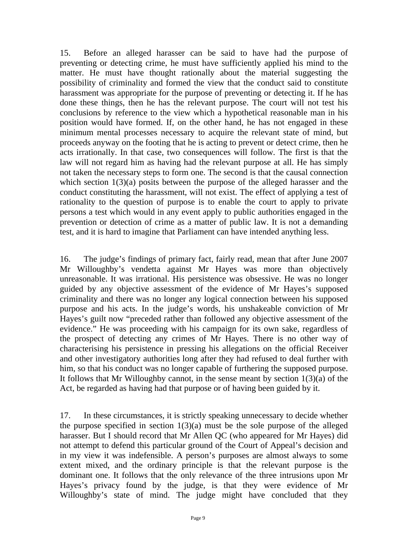15. Before an alleged harasser can be said to have had the purpose of preventing or detecting crime, he must have sufficiently applied his mind to the matter. He must have thought rationally about the material suggesting the possibility of criminality and formed the view that the conduct said to constitute harassment was appropriate for the purpose of preventing or detecting it. If he has done these things, then he has the relevant purpose. The court will not test his conclusions by reference to the view which a hypothetical reasonable man in his position would have formed. If, on the other hand, he has not engaged in these minimum mental processes necessary to acquire the relevant state of mind, but proceeds anyway on the footing that he is acting to prevent or detect crime, then he acts irrationally. In that case, two consequences will follow. The first is that the law will not regard him as having had the relevant purpose at all. He has simply not taken the necessary steps to form one. The second is that the causal connection which section 1(3)(a) posits between the purpose of the alleged harasser and the conduct constituting the harassment, will not exist. The effect of applying a test of rationality to the question of purpose is to enable the court to apply to private persons a test which would in any event apply to public authorities engaged in the prevention or detection of crime as a matter of public law. It is not a demanding test, and it is hard to imagine that Parliament can have intended anything less.

16. The judge's findings of primary fact, fairly read, mean that after June 2007 Mr Willoughby's vendetta against Mr Hayes was more than objectively unreasonable. It was irrational. His persistence was obsessive. He was no longer guided by any objective assessment of the evidence of Mr Hayes's supposed criminality and there was no longer any logical connection between his supposed purpose and his acts. In the judge's words, his unshakeable conviction of Mr Hayes's guilt now "preceded rather than followed any objective assessment of the evidence." He was proceeding with his campaign for its own sake, regardless of the prospect of detecting any crimes of Mr Hayes. There is no other way of characterising his persistence in pressing his allegations on the official Receiver and other investigatory authorities long after they had refused to deal further with him, so that his conduct was no longer capable of furthering the supposed purpose. It follows that Mr Willoughby cannot, in the sense meant by section  $1(3)(a)$  of the Act, be regarded as having had that purpose or of having been guided by it.

17. In these circumstances, it is strictly speaking unnecessary to decide whether the purpose specified in section  $1(3)(a)$  must be the sole purpose of the alleged harasser. But I should record that Mr Allen QC (who appeared for Mr Hayes) did not attempt to defend this particular ground of the Court of Appeal's decision and in my view it was indefensible. A person's purposes are almost always to some extent mixed, and the ordinary principle is that the relevant purpose is the dominant one. It follows that the only relevance of the three intrusions upon Mr Hayes's privacy found by the judge, is that they were evidence of Mr Willoughby's state of mind. The judge might have concluded that they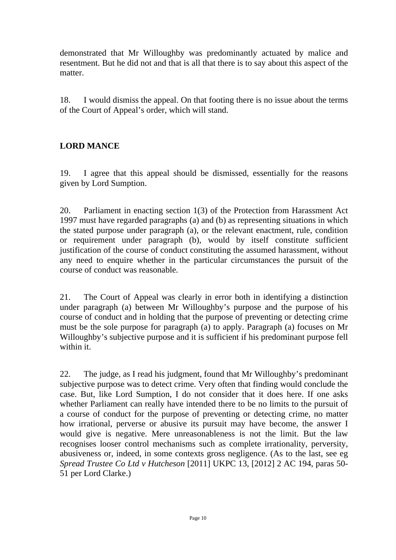demonstrated that Mr Willoughby was predominantly actuated by malice and resentment. But he did not and that is all that there is to say about this aspect of the matter.

18. I would dismiss the appeal. On that footing there is no issue about the terms of the Court of Appeal's order, which will stand.

### **LORD MANCE**

19. I agree that this appeal should be dismissed, essentially for the reasons given by Lord Sumption.

20. Parliament in enacting section 1(3) of the Protection from Harassment Act 1997 must have regarded paragraphs (a) and (b) as representing situations in which the stated purpose under paragraph (a), or the relevant enactment, rule, condition or requirement under paragraph (b), would by itself constitute sufficient justification of the course of conduct constituting the assumed harassment, without any need to enquire whether in the particular circumstances the pursuit of the course of conduct was reasonable.

21. The Court of Appeal was clearly in error both in identifying a distinction under paragraph (a) between Mr Willoughby's purpose and the purpose of his course of conduct and in holding that the purpose of preventing or detecting crime must be the sole purpose for paragraph (a) to apply. Paragraph (a) focuses on Mr Willoughby's subjective purpose and it is sufficient if his predominant purpose fell within it.

22. The judge, as I read his judgment, found that Mr Willoughby's predominant subjective purpose was to detect crime. Very often that finding would conclude the case. But, like Lord Sumption, I do not consider that it does here. If one asks whether Parliament can really have intended there to be no limits to the pursuit of a course of conduct for the purpose of preventing or detecting crime, no matter how irrational, perverse or abusive its pursuit may have become, the answer I would give is negative. Mere unreasonableness is not the limit. But the law recognises looser control mechanisms such as complete irrationality, perversity, abusiveness or, indeed, in some contexts gross negligence. (As to the last, see eg *Spread Trustee Co Ltd v Hutcheson* [2011] UKPC 13, [2012] 2 AC 194, paras 50- 51 per Lord Clarke.)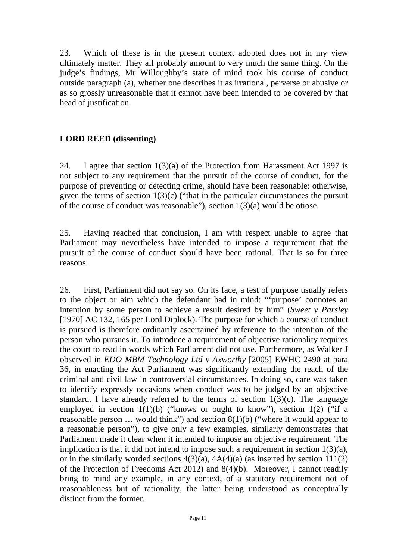23. Which of these is in the present context adopted does not in my view ultimately matter. They all probably amount to very much the same thing. On the judge's findings, Mr Willoughby's state of mind took his course of conduct outside paragraph (a), whether one describes it as irrational, perverse or abusive or as so grossly unreasonable that it cannot have been intended to be covered by that head of justification.

#### **LORD REED (dissenting)**

24. I agree that section 1(3)(a) of the Protection from Harassment Act 1997 is not subject to any requirement that the pursuit of the course of conduct, for the purpose of preventing or detecting crime, should have been reasonable: otherwise, given the terms of section  $1(3)(c)$  ("that in the particular circumstances the pursuit of the course of conduct was reasonable"), section  $1(3)(a)$  would be otiose.

25. Having reached that conclusion, I am with respect unable to agree that Parliament may nevertheless have intended to impose a requirement that the pursuit of the course of conduct should have been rational. That is so for three reasons.

26. First, Parliament did not say so. On its face, a test of purpose usually refers to the object or aim which the defendant had in mind: "'purpose' connotes an intention by some person to achieve a result desired by him" (*Sweet v Parsley*  [1970] AC 132, 165 per Lord Diplock). The purpose for which a course of conduct is pursued is therefore ordinarily ascertained by reference to the intention of the person who pursues it. To introduce a requirement of objective rationality requires the court to read in words which Parliament did not use. Furthermore, as Walker J observed in *EDO MBM Technology Ltd v Axworthy* [2005] EWHC 2490 at para 36, in enacting the Act Parliament was significantly extending the reach of the criminal and civil law in controversial circumstances. In doing so, care was taken to identify expressly occasions when conduct was to be judged by an objective standard. I have already referred to the terms of section  $1(3)(c)$ . The language employed in section  $1(1)(b)$  ("knows or ought to know"), section  $1(2)$  ("if a reasonable person … would think") and section 8(1)(b) ("where it would appear to a reasonable person"), to give only a few examples, similarly demonstrates that Parliament made it clear when it intended to impose an objective requirement. The implication is that it did not intend to impose such a requirement in section 1(3)(a), or in the similarly worded sections  $4(3)(a)$ ,  $4A(4)(a)$  (as inserted by section 111(2) of the Protection of Freedoms Act 2012) and 8(4)(b). Moreover, I cannot readily bring to mind any example, in any context, of a statutory requirement not of reasonableness but of rationality, the latter being understood as conceptually distinct from the former.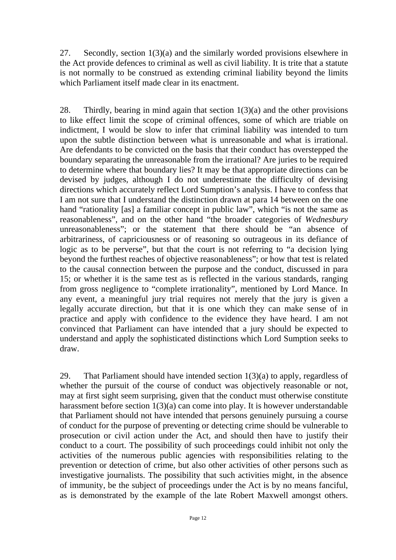27. Secondly, section 1(3)(a) and the similarly worded provisions elsewhere in the Act provide defences to criminal as well as civil liability. It is trite that a statute is not normally to be construed as extending criminal liability beyond the limits which Parliament itself made clear in its enactment.

28. Thirdly, bearing in mind again that section  $1(3)(a)$  and the other provisions to like effect limit the scope of criminal offences, some of which are triable on indictment, I would be slow to infer that criminal liability was intended to turn upon the subtle distinction between what is unreasonable and what is irrational. Are defendants to be convicted on the basis that their conduct has overstepped the boundary separating the unreasonable from the irrational? Are juries to be required to determine where that boundary lies? It may be that appropriate directions can be devised by judges, although I do not underestimate the difficulty of devising directions which accurately reflect Lord Sumption's analysis. I have to confess that I am not sure that I understand the distinction drawn at para 14 between on the one hand "rationality [as] a familiar concept in public law", which "is not the same as reasonableness", and on the other hand "the broader categories of *Wednesbury*  unreasonableness"; or the statement that there should be "an absence of arbitrariness, of capriciousness or of reasoning so outrageous in its defiance of logic as to be perverse", but that the court is not referring to "a decision lying beyond the furthest reaches of objective reasonableness"; or how that test is related to the causal connection between the purpose and the conduct, discussed in para 15; or whether it is the same test as is reflected in the various standards, ranging from gross negligence to "complete irrationality", mentioned by Lord Mance. In any event, a meaningful jury trial requires not merely that the jury is given a legally accurate direction, but that it is one which they can make sense of in practice and apply with confidence to the evidence they have heard. I am not convinced that Parliament can have intended that a jury should be expected to understand and apply the sophisticated distinctions which Lord Sumption seeks to draw.

29. That Parliament should have intended section 1(3)(a) to apply, regardless of whether the pursuit of the course of conduct was objectively reasonable or not, may at first sight seem surprising, given that the conduct must otherwise constitute harassment before section 1(3)(a) can come into play. It is however understandable that Parliament should not have intended that persons genuinely pursuing a course of conduct for the purpose of preventing or detecting crime should be vulnerable to prosecution or civil action under the Act, and should then have to justify their conduct to a court. The possibility of such proceedings could inhibit not only the activities of the numerous public agencies with responsibilities relating to the prevention or detection of crime, but also other activities of other persons such as investigative journalists. The possibility that such activities might, in the absence of immunity, be the subject of proceedings under the Act is by no means fanciful, as is demonstrated by the example of the late Robert Maxwell amongst others.